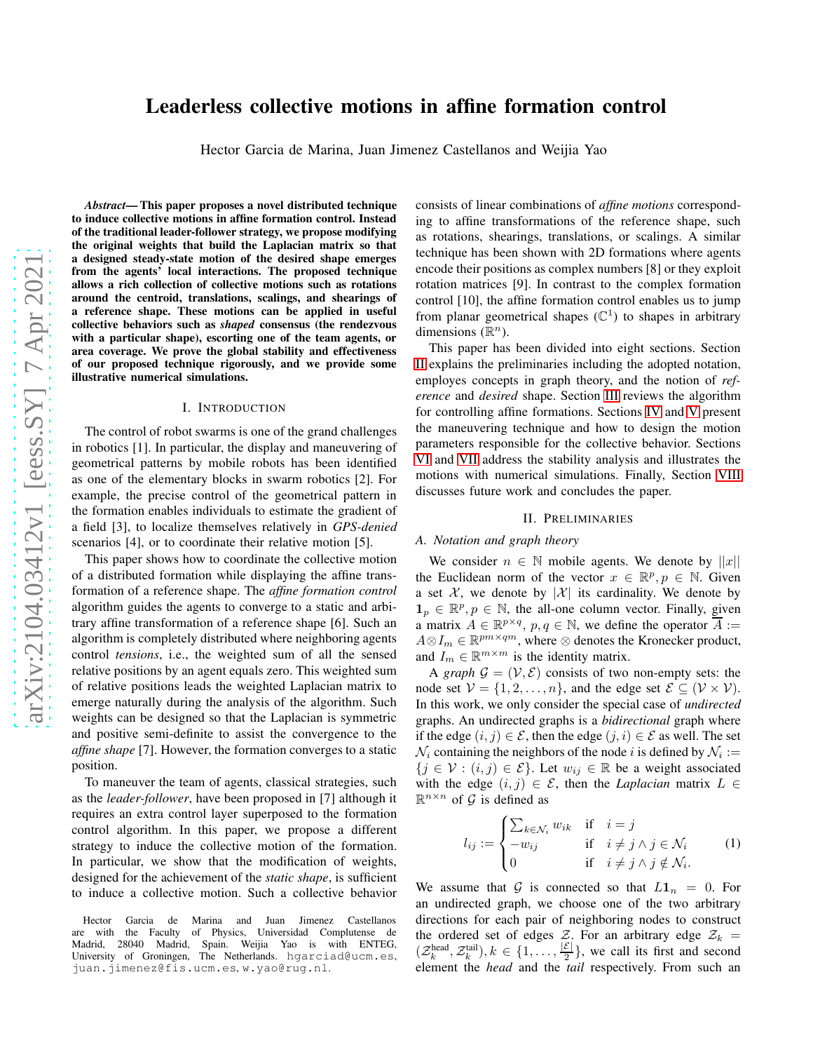# Leaderless collective motions in affine formation control

Hector Garcia de Marina, Juan Jimenez Castellanos and Weijia Yao

*Abstract*— This paper proposes a novel distributed technique to induce collective motions in affine formation control. Instead of the traditional leader-follower strategy, we propose modifying the original weights that build the Laplacian matrix so that a designed steady-state motion of the desired shape emerges from the agents' local interactions. The proposed technique allows a rich collection of collective motions such as rotations around the centroid, translations, scalings, and shearings of a reference shape. These motions can be applied in useful collective behaviors such as *shaped* consensus (the rendezvous with a particular shape), escorting one of the team agents, or area coverage. We prove the global stability and effectiveness of our proposed technique rigorously, and we provide some illustrative numerical simulations.

#### I. INTRODUCTION

The control of robot swarms is one of the grand challenges in robotics [1]. In particular, the display and maneuvering of geometrical patterns by mobile robots has been identified as one of the elementary blocks in swarm robotics [2]. For example, the precise control of the geometrical pattern in the formation enables individuals to estimate the gradient of a field [3], to localize themselves relatively in *GPS-denied* scenarios [4], or to coordinate their relative motion [5].

This paper shows how to coordinate the collective motion of a distributed formation while displaying the affine transformation of a reference shape. The *affine formation control* algorithm guides the agents to converge to a static and arbitrary affine transformation of a reference shape [6]. Such an algorithm is completely distributed where neighboring agents control *tensions*, i.e., the weighted sum of all the sensed relative positions by an agent equals zero. This weighted sum of relative positions leads the weighted Laplacian matrix to emerge naturally during the analysis of the algorithm. Such weights can be designed so that the Laplacian is symmetric and positive semi-definite to assist the convergence to the *affine shape* [7]. However, the formation converges to a static position.

To maneuver the team of agents, classical strategies, such as the *leader-follower*, have been proposed in [7] although it requires an extra control layer superposed to the formation control algorithm. In this paper, we propose a different strategy to induce the collective motion of the formation. In particular, we show that the modification of weights, designed for the achievement of the *static shape*, is sufficient to induce a collective motion. Such a collective behavior consists of linear combinations of *affine motions* corresponding to affine transformations of the reference shape, such as rotations, shearings, translations, or scalings. A similar technique has been shown with 2D formations where agents encode their positions as complex numbers [8] or they exploit rotation matrices [9]. In contrast to the complex formation control [10], the affine formation control enables us to jump from planar geometrical shapes  $(\mathbb{C}^1)$  to shapes in arbitrary dimensions  $(\mathbb{R}^n)$ .

This paper has been divided into eight sections. Section [II](#page-0-0) explains the preliminaries including the adopted notation, employes concepts in graph theory, and the notion of *reference* and *desired* shape. Section [III](#page-1-0) reviews the algorithm for controlling affine formations. Sections [IV](#page-1-1) and [V](#page-2-0) present the maneuvering technique and how to design the motion parameters responsible for the collective behavior. Sections [VI](#page-3-0) and [VII](#page-4-0) address the stability analysis and illustrates the motions with numerical simulations. Finally, Section [VIII](#page-4-1) discusses future work and concludes the paper.

## II. PRELIMINARIES

## <span id="page-0-0"></span>*A. Notation and graph theory*

We consider  $n \in \mathbb{N}$  mobile agents. We denote by  $||x||$ the Euclidean norm of the vector  $x \in \mathbb{R}^p, p \in \mathbb{N}$ . Given a set X, we denote by  $|X|$  its cardinality. We denote by  $\mathbf{1}_p \in \mathbb{R}^p, p \in \mathbb{N}$ , the all-one column vector. Finally, given a matrix  $A \in \mathbb{R}^{p \times q}$ ,  $p, q \in \mathbb{N}$ , we define the operator  $\overline{A} :=$  $A \otimes I_m \in \mathbb{R}^{pm \times qm}$ , where  $\otimes$  denotes the Kronecker product, and  $I_m \in \mathbb{R}^{m \times m}$  is the identity matrix.

A *graph*  $\mathcal{G} = (\mathcal{V}, \mathcal{E})$  consists of two non-empty sets: the node set  $V = \{1, 2, ..., n\}$ , and the edge set  $\mathcal{E} \subseteq (\mathcal{V} \times \mathcal{V})$ . In this work, we only consider the special case of *undirected* graphs. An undirected graphs is a *bidirectional* graph where if the edge  $(i, j) \in \mathcal{E}$ , then the edge  $(j, i) \in \mathcal{E}$  as well. The set  $\mathcal{N}_i$  containing the neighbors of the node  $i$  is defined by  $\mathcal{N}_i :=$  $\{j \in \mathcal{V} : (i, j) \in \mathcal{E}\}\$ . Let  $w_{ij} \in \mathbb{R}$  be a weight associated with the edge  $(i, j) \in \mathcal{E}$ , then the *Laplacian* matrix  $L \in$  $\mathbb{R}^{n \times n}$  of  $\mathcal G$  is defined as

<span id="page-0-1"></span>
$$
l_{ij} := \begin{cases} \sum_{k \in \mathcal{N}_i} w_{ik} & \text{if } i = j \\ -w_{ij} & \text{if } i \neq j \land j \in \mathcal{N}_i \\ 0 & \text{if } i \neq j \land j \notin \mathcal{N}_i. \end{cases} \tag{1}
$$

We assume that G is connected so that  $L1_n = 0$ . For an undirected graph, we choose one of the two arbitrary directions for each pair of neighboring nodes to construct the ordered set of edges  $\mathcal{Z}$ . For an arbitrary edge  $\mathcal{Z}_k =$  $(\mathcal{Z}_k^{\text{head}}, \mathcal{Z}_k^{\text{tail}}), k \in \{1, \ldots, \frac{|\mathcal{E}|}{2}\}$  $\frac{\varepsilon_1}{2}$ , we call its first and second element the *head* and the *tail* respectively. From such an

Hector Garcia de Marina and Juan Jimenez Castellanos are with the Faculty of Physics, Universidad Complutense de Madrid, 28040 Madrid, Spain. Weijia Yao is with ENTEG, University of Groningen, The Netherlands. hgarciad@ucm.es, juan.jimenez@fis.ucm.es, w.yao@rug.nl.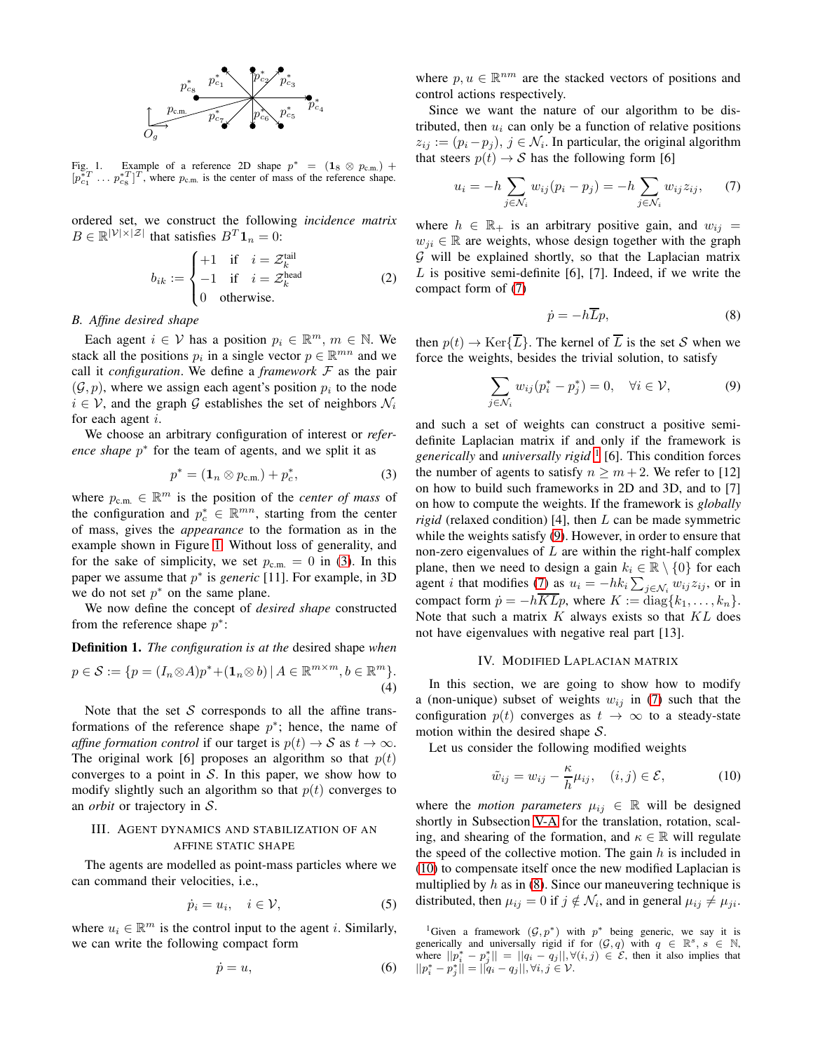

<span id="page-1-2"></span>Fig. 1. Example of a reference 2D shape  $p^* = (1_8 \otimes p_{\text{c.m.}})$  +  $[p_{c_1}^{*T} \dots p_{c_8}^{*T}]^T$ , where  $p_{c.m.}$  is the center of mass of the reference shape.

ordered set, we construct the following *incidence matrix*  $B \in \mathbb{R}^{|\mathcal{V}| \times |\mathcal{Z}|}$  that satisfies  $B^T \mathbf{1}_n = 0$ :

<span id="page-1-9"></span>
$$
b_{ik} := \begin{cases} +1 & \text{if } i = \mathcal{Z}_k^{\text{tail}} \\ -1 & \text{if } i = \mathcal{Z}_k^{\text{head}} \\ 0 & \text{otherwise.} \end{cases}
$$
 (2)

## *B. Affine desired shape*

Each agent  $i \in V$  has a position  $p_i \in \mathbb{R}^m$ ,  $m \in \mathbb{N}$ . We stack all the positions  $p_i$  in a single vector  $p \in \mathbb{R}^{mn}$  and we call it *configuration*. We define a *framework*  $F$  as the pair  $(\mathcal{G}, p)$ , where we assign each agent's position  $p_i$  to the node  $i \in \mathcal{V}$ , and the graph G establishes the set of neighbors  $\mathcal{N}_i$ for each agent i.

We choose an arbitrary configuration of interest or *refer*ence shape  $p^*$  for the team of agents, and we split it as

<span id="page-1-3"></span>
$$
p^* = (\mathbf{1}_n \otimes p_{\text{c.m.}}) + p_c^*,\tag{3}
$$

where  $p_{\text{c.m.}} \in \mathbb{R}^m$  is the position of the *center of mass* of the configuration and  $p_c^* \in \mathbb{R}^{mn}$ , starting from the center of mass, gives the *appearance* to the formation as in the example shown in Figure [1.](#page-1-2) Without loss of generality, and for the sake of simplicity, we set  $p_{\text{c.m.}} = 0$  in [\(3\)](#page-1-3). In this paper we assume that  $p^*$  is *generic* [11]. For example, in 3D we do not set  $p^*$  on the same plane.

We now define the concept of *desired shape* constructed from the reference shape  $p^*$ :

<span id="page-1-10"></span>**Definition 1.** The configuration is at the desired shape when  
\n
$$
p \in S := \{p = (I_n \otimes A)p^* + (\mathbf{1}_n \otimes b) | A \in \mathbb{R}^{m \times m}, b \in \mathbb{R}^m\}.
$$
\n(4)

Note that the set S corresponds to all the affine transformations of the reference shape  $p^*$ ; hence, the name of *affine formation control* if our target is  $p(t) \rightarrow S$  as  $t \rightarrow \infty$ . The original work [6] proposes an algorithm so that  $p(t)$ converges to a point in  $S$ . In this paper, we show how to modify slightly such an algorithm so that  $p(t)$  converges to an *orbit* or trajectory in S.

# <span id="page-1-0"></span>III. AGENT DYNAMICS AND STABILIZATION OF AN AFFINE STATIC SHAPE

The agents are modelled as point-mass particles where we can command their velocities, i.e.,

<span id="page-1-11"></span>
$$
\dot{p}_i = u_i, \quad i \in \mathcal{V}, \tag{5}
$$

where  $u_i \in \mathbb{R}^m$  is the control input to the agent *i*. Similarly, we can write the following compact form

$$
\dot{p} = u,\tag{6}
$$

where  $p, u \in \mathbb{R}^{nm}$  are the stacked vectors of positions and control actions respectively.

Since we want the nature of our algorithm to be distributed, then  $u_i$  can only be a function of relative positions  $z_{ij} := (p_i - p_j), j \in \mathcal{N}_i$ . In particular, the original algorithm that steers  $p(t) \rightarrow S$  has the following form [6]

<span id="page-1-4"></span>
$$
u_i = -h \sum_{j \in \mathcal{N}_i} w_{ij} (p_i - p_j) = -h \sum_{j \in \mathcal{N}_i} w_{ij} z_{ij}, \quad (7)
$$

where  $h \in \mathbb{R}_+$  is an arbitrary positive gain, and  $w_{ij}$  =  $w_{ji} \in \mathbb{R}$  are weights, whose design together with the graph  $G$  will be explained shortly, so that the Laplacian matrix  $L$  is positive semi-definite [6], [7]. Indeed, if we write the compact form of [\(7\)](#page-1-4)

<span id="page-1-8"></span>
$$
\dot{p} = -h\overline{L}p,\tag{8}
$$

then  $p(t) \to \text{Ker}\{\overline{L}\}\.$  The kernel of  $\overline{L}$  is the set S when we force the weights, besides the trivial solution, to satisfy

<span id="page-1-6"></span>
$$
\sum_{j \in \mathcal{N}_i} w_{ij} (p_i^* - p_j^*) = 0, \quad \forall i \in \mathcal{V}, \tag{9}
$$

and such a set of weights can construct a positive semidefinite Laplacian matrix if and only if the framework is *generically* and *universally rigid* [1](#page-1-5) [6]. This condition forces the number of agents to satisfy  $n \geq m+2$ . We refer to [12] on how to build such frameworks in 2D and 3D, and to [7] on how to compute the weights. If the framework is *globally rigid* (relaxed condition) [4], then L can be made symmetric while the weights satisfy [\(9\)](#page-1-6). However, in order to ensure that non-zero eigenvalues of  $L$  are within the right-half complex plane, then we need to design a gain  $k_i \in \mathbb{R} \setminus \{0\}$  for each agent *i* that modifies [\(7\)](#page-1-4) as  $u_i = -hk_i \sum_{j \in \mathcal{N}_i} w_{ij} z_{ij}$ , or in compact form  $\dot{p} = -h\overline{KL}p$ , where  $K := \text{diag}\{k_1, \ldots, k_n\}.$ Note that such a matrix  $K$  always exists so that  $KL$  does not have eigenvalues with negative real part [13].

#### IV. MODIFIED LAPLACIAN MATRIX

<span id="page-1-1"></span>In this section, we are going to show how to modify a (non-unique) subset of weights  $w_{ij}$  in [\(7\)](#page-1-4) such that the configuration  $p(t)$  converges as  $t \to \infty$  to a steady-state motion within the desired shape  $S$ .

Let us consider the following modified weights

<span id="page-1-7"></span>
$$
\tilde{w}_{ij} = w_{ij} - \frac{\kappa}{h} \mu_{ij}, \quad (i, j) \in \mathcal{E}, \tag{10}
$$

where the *motion parameters*  $\mu_{ij} \in \mathbb{R}$  will be designed shortly in Subsection [V-A](#page-2-1) for the translation, rotation, scaling, and shearing of the formation, and  $\kappa \in \mathbb{R}$  will regulate the speed of the collective motion. The gain  $h$  is included in [\(10\)](#page-1-7) to compensate itself once the new modified Laplacian is multiplied by  $h$  as in [\(8\)](#page-1-8). Since our maneuvering technique is distributed, then  $\mu_{ij} = 0$  if  $j \notin \mathcal{N}_i$ , and in general  $\mu_{ij} \neq \mu_{ji}$ .

<span id="page-1-5"></span><sup>&</sup>lt;sup>1</sup>Given a framework  $(G, p^*)$  with  $p^*$  being generic, we say it is generically and universally rigid if for  $(\mathcal{G}, q)$  with  $q \in \mathbb{R}^s$ ,  $s \in \mathbb{N}$ , where  $||p_i^* - p_j^*|| = ||q_i - q_j||, \forall (i, j) \in \mathcal{E}$ , then it also implies that  $||p_i^* - p_j^*|| = ||q_i - q_j||, \forall i, j \in \mathcal{V}.$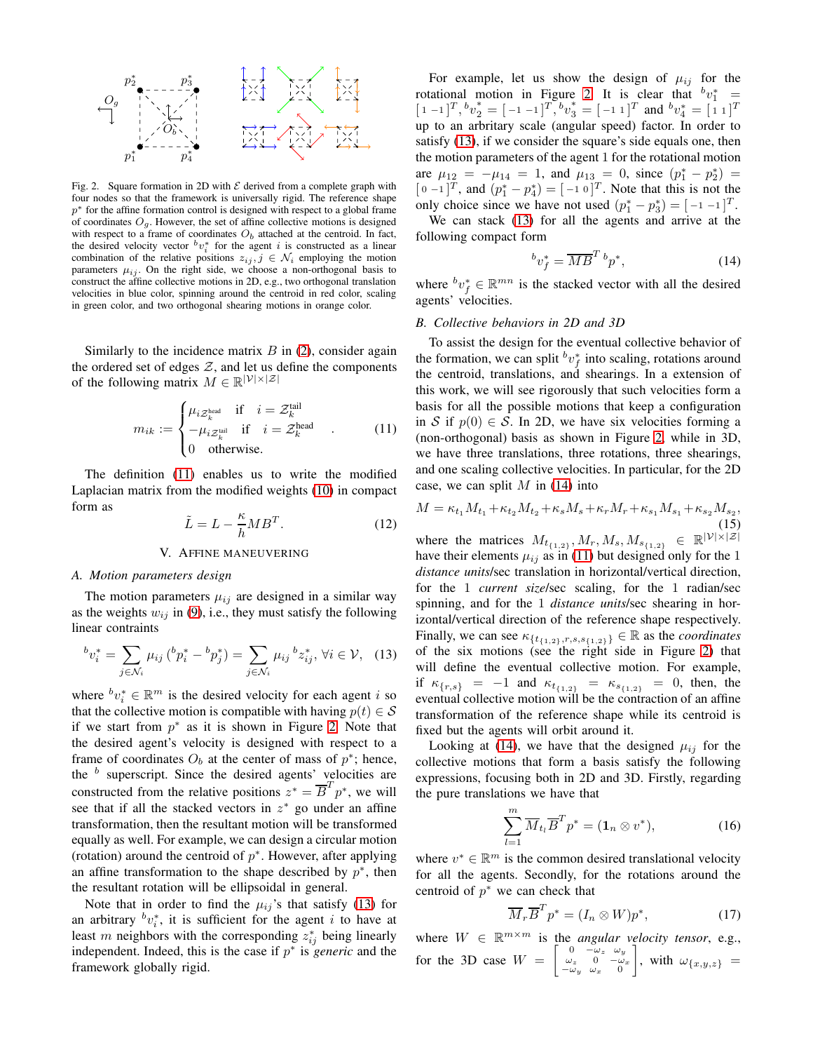

<span id="page-2-3"></span>Fig. 2. Square formation in 2D with  $\mathcal E$  derived from a complete graph with four nodes so that the framework is universally rigid. The reference shape  $p^*$  for the affine formation control is designed with respect to a global frame of coordinates  $O<sub>g</sub>$ . However, the set of affine collective motions is designed with respect to a frame of coordinates  $O<sub>b</sub>$  attached at the centroid. In fact, the desired velocity vector  $^b v_i^*$  for the agent i is constructed as a linear combination of the relative positions  $z_{ij}$ ,  $j \in \mathcal{N}_i$  employing the motion parameters  $\mu_{ij}$ . On the right side, we choose a non-orthogonal basis to construct the affine collective motions in 2D, e.g., two orthogonal translation velocities in blue color, spinning around the centroid in red color, scaling in green color, and two orthogonal shearing motions in orange color.

Similarly to the incidence matrix  $B$  in [\(2\)](#page-1-9), consider again the ordered set of edges  $Z$ , and let us define the components of the following matrix  $M \in \mathbb{R}^{|\mathcal{V}| \times |\mathcal{Z}|}$ 

<span id="page-2-2"></span>
$$
m_{ik} := \begin{cases} \mu_{i\mathcal{Z}_k^{\text{head}}} & \text{if } i = \mathcal{Z}_k^{\text{tail}} \\ -\mu_{i\mathcal{Z}_k^{\text{tail}}} & \text{if } i = \mathcal{Z}_k^{\text{head}} \\ 0 & \text{otherwise.} \end{cases}
$$
 (11)

The definition [\(11\)](#page-2-2) enables us to write the modified Laplacian matrix from the modified weights [\(10\)](#page-1-7) in compact form as

<span id="page-2-8"></span>
$$
\tilde{L} = L - \frac{\kappa}{h} M B^T. \tag{12}
$$

#### V. AFFINE MANEUVERING

## <span id="page-2-1"></span><span id="page-2-0"></span>*A. Motion parameters design*

The motion parameters  $\mu_{ij}$  are designed in a similar way as the weights  $w_{ij}$  in [\(9\)](#page-1-6), i.e., they must satisfy the following linear contraints

<span id="page-2-4"></span>
$$
^{b}v_{i}^{*} = \sum_{j \in \mathcal{N}_{i}} \mu_{ij} (^{b}p_{i}^{*} - ^{b}p_{j}^{*}) = \sum_{j \in \mathcal{N}_{i}} \mu_{ij} {^{b}z_{ij}^{*}}, \forall i \in \mathcal{V}, \quad (13)
$$

where  ${}^b v_i^* \in \mathbb{R}^m$  is the desired velocity for each agent i so that the collective motion is compatible with having  $p(t) \in S$ if we start from  $p^*$  as it is shown in Figure [2.](#page-2-3) Note that the desired agent's velocity is designed with respect to a frame of coordinates  $O_b$  at the center of mass of  $p^*$ ; hence, the  $b$  superscript. Since the desired agents' velocities are constructed from the relative positions  $z^* = \overline{B}^T p^*$ , we will see that if all the stacked vectors in  $z^*$  go under an affine transformation, then the resultant motion will be transformed equally as well. For example, we can design a circular motion (rotation) around the centroid of  $p^*$ . However, after applying an affine transformation to the shape described by  $p^*$ , then the resultant rotation will be ellipsoidal in general.

Note that in order to find the  $\mu_{ij}$ 's that satisfy [\(13\)](#page-2-4) for an arbitrary  $^b v_i^*$ , it is sufficient for the agent i to have at least m neighbors with the corresponding  $z_{ij}^*$  being linearly independent. Indeed, this is the case if  $p^*$  is *generic* and the framework globally rigid.

For example, let us show the design of  $\mu_{ij}$  for the rotational motion in Figure [2.](#page-2-3) It is clear that  $b v_1^* =$  $[1 -1]^T$ ,  ${}^b v_2^* = [-1 -1]^T$ ,  ${}^b v_3^* = [-1 1]^T$  and  ${}^b v_4^* = [1 1]^T$ up to an arbritary scale (angular speed) factor. In order to satisfy [\(13\)](#page-2-4), if we consider the square's side equals one, then the motion parameters of the agent 1 for the rotational motion are  $\mu_{12} = -\mu_{14} = 1$ , and  $\mu_{13} = 0$ , since  $(p_1^* - p_2^*) =$  $[0 -1]^T$ , and  $(p_1^* - p_4^*) = [-1 0]^T$ . Note that this is not the only choice since we have not used  $(p_1^* - p_3^*) = [-1, -1]^T$ .

We can stack [\(13\)](#page-2-4) for all the agents and arrive at the following compact form

<span id="page-2-5"></span>
$$
{}^{b}v_{f}^{*} = \overline{MB}^{T} {}^{b}p^{*}, \qquad (14)
$$

where  ${}^{b}v_{f}^{*} \in \mathbb{R}^{mn}$  is the stacked vector with all the desired agents' velocities.

## <span id="page-2-9"></span>*B. Collective behaviors in 2D and 3D*

To assist the design for the eventual collective behavior of the formation, we can split  $\mathbf{v}_f^*$  into scaling, rotations around the centroid, translations, and shearings. In a extension of this work, we will see rigorously that such velocities form a basis for all the possible motions that keep a configuration in S if  $p(0) \in S$ . In 2D, we have six velocities forming a (non-orthogonal) basis as shown in Figure [2,](#page-2-3) while in 3D, we have three translations, three rotations, three shearings, and one scaling collective velocities. In particular, for the 2D case, we can split  $M$  in [\(14\)](#page-2-5) into

<span id="page-2-10"></span>
$$
M = \kappa_{t_1} M_{t_1} + \kappa_{t_2} M_{t_2} + \kappa_s M_s + \kappa_r M_r + \kappa_{s_1} M_{s_1} + \kappa_{s_2} M_{s_2},
$$
\n(15)

where the matrices  $M_{t_{\{1,2\}}}, M_r, M_s, M_{s_{\{1,2\}}} \in \mathbb{R}^{|\mathcal{V}| \times |\mathcal{Z}|}$ have their elements  $\mu_{ij}$  as in [\(11\)](#page-2-2) but designed only for the 1 *distance units*/sec translation in horizontal/vertical direction, for the 1 *current size*/sec scaling, for the 1 radian/sec spinning, and for the 1 *distance units*/sec shearing in horizontal/vertical direction of the reference shape respectively. Finally, we can see  $\kappa_{\{t_{\{1,2\}},r,s,s_{\{1,2\}}\}} \in \mathbb{R}$  as the *coordinates* of the six motions (see the right side in Figure [2\)](#page-2-3) that will define the eventual collective motion. For example, if  $\kappa_{\{r,s\}} = -1$  and  $\kappa_{t_{\{1,2\}}} = \kappa_{s_{\{1,2\}}} = 0$ , then, the eventual collective motion will be the contraction of an affine transformation of the reference shape while its centroid is fixed but the agents will orbit around it.

Looking at [\(14\)](#page-2-5), we have that the designed  $\mu_{ij}$  for the collective motions that form a basis satisfy the following expressions, focusing both in 2D and 3D. Firstly, regarding the pure translations we have that

<span id="page-2-7"></span>
$$
\sum_{l=1}^{m} \overline{M}_{t_l} \overline{B}^T p^* = (\mathbf{1}_n \otimes v^*), \tag{16}
$$

where  $v^* \in \mathbb{R}^m$  is the common desired translational velocity for all the agents. Secondly, for the rotations around the centroid of  $p^*$  we can check that

<span id="page-2-6"></span>
$$
\overline{M}_r \overline{B}^T p^* = (I_n \otimes W) p^*, \qquad (17)
$$

where  $W \in \mathbb{R}^{m \times m}$  is the *angular velocity tensor*, e.g., for the 3D case  $W = \begin{bmatrix} 0 & -\omega_z & \omega_y \\ \omega_z & 0 & -\omega_x \\ -\omega_y & \omega_x & 0 \end{bmatrix}$  $\Big]$ , with  $\omega_{\lbrace x,y,z \rbrace} =$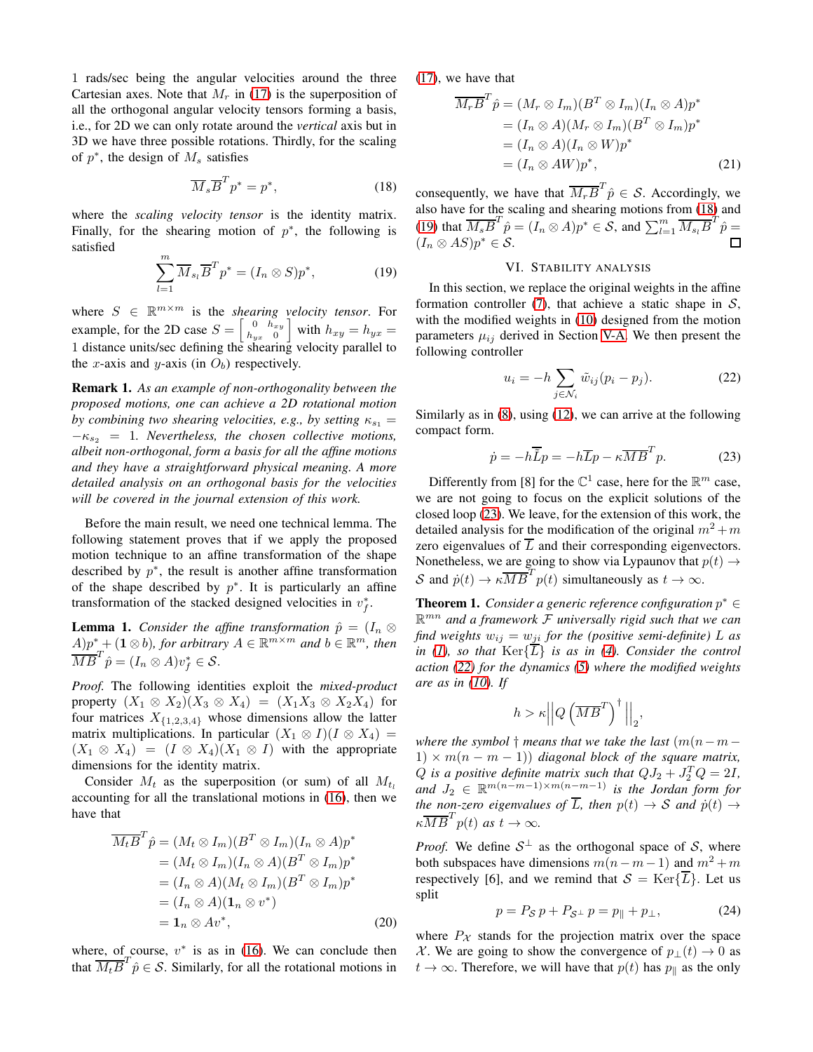1 rads/sec being the angular velocities around the three Cartesian axes. Note that  $M_r$  in [\(17\)](#page-2-6) is the superposition of all the orthogonal angular velocity tensors forming a basis, i.e., for 2D we can only rotate around the *vertical* axis but in 3D we have three possible rotations. Thirdly, for the scaling of  $p^*$ , the design of  $M_s$  satisfies

<span id="page-3-1"></span>
$$
\overline{M}_s \overline{B}^T p^* = p^*,\tag{18}
$$

where the *scaling velocity tensor* is the identity matrix. Finally, for the shearing motion of  $p^*$ , the following is satisfied

<span id="page-3-2"></span>
$$
\sum_{l=1}^{m} \overline{M}_{s_l} \overline{B}^T p^* = (I_n \otimes S) p^*,
$$
 (19)

where  $S \in \mathbb{R}^{m \times m}$  is the *shearing velocity tensor*. For example, for the 2D case  $S = \begin{bmatrix} 0 & h_{xy} \\ h_{yy} & 0 \end{bmatrix}$  $\begin{bmatrix} 0 & h_{xy} \\ h_{yx} & 0 \end{bmatrix}$  with  $h_{xy} = h_{yx} =$ 1 distance units/sec defining the shearing velocity parallel to the x-axis and y-axis (in  $O_b$ ) respectively.

Remark 1. *As an example of non-orthogonality between the proposed motions, one can achieve a 2D rotational motion by combining two shearing velocities, e.g., by setting*  $\kappa_{s_1} =$ −κ<sup>s</sup><sup>2</sup> = 1*. Nevertheless, the chosen collective motions, albeit non-orthogonal, form a basis for all the affine motions and they have a straightforward physical meaning. A more detailed analysis on an orthogonal basis for the velocities will be covered in the journal extension of this work.*

Before the main result, we need one technical lemma. The following statement proves that if we apply the proposed motion technique to an affine transformation of the shape described by  $p^*$ , the result is another affine transformation of the shape described by  $p^*$ . It is particularly an affine transformation of the stacked designed velocities in  $v_f^*$ .

<span id="page-3-5"></span>**Lemma 1.** *Consider the affine transformation*  $\hat{p} = (I_n \otimes I_n)^T$  $(A)p^* + (\mathbf{1} \otimes b)$ , for arbitrary  $A \in \mathbb{R}^{m \times m}$  and  $b \in \mathbb{R}^m$ , then  $\overline{MB}^T\hat{p} = (I_n \otimes A)v_f^* \in \mathcal{S}.$ 

*Proof.* The following identities exploit the *mixed-product* property  $(X_1 \otimes X_2)(X_3 \otimes X_4) = (X_1X_3 \otimes X_2X_4)$  for four matrices  $X_{\{1,2,3,4\}}$  whose dimensions allow the latter matrix multiplications. In particular  $(X_1 \otimes I)(I \otimes X_4)$  =  $(X_1 \otimes X_4) = (I \otimes X_4)(X_1 \otimes I)$  with the appropriate dimensions for the identity matrix.

Consider  $M_t$  as the superposition (or sum) of all  $M_{t_1}$ accounting for all the translational motions in [\(16\)](#page-2-7), then we have that

$$
\overline{M_t} \overline{B}^T \hat{p} = (M_t \otimes I_m)(B^T \otimes I_m)(I_n \otimes A)p^*
$$
  
\n
$$
= (M_t \otimes I_m)(I_n \otimes A)(B^T \otimes I_m)p^*
$$
  
\n
$$
= (I_n \otimes A)(M_t \otimes I_m)(B^T \otimes I_m)p^*
$$
  
\n
$$
= (I_n \otimes A)(\mathbf{1}_n \otimes v^*)
$$
  
\n
$$
= \mathbf{1}_n \otimes Av^*,
$$
 (20)

where, of course,  $v^*$  is as in [\(16\)](#page-2-7). We can conclude then that  $\overline{M_t}\overline{B}^T\hat{p} \in \mathcal{S}$ . Similarly, for all the rotational motions in [\(17\)](#page-2-6), we have that

$$
\overline{M_rB}^T \hat{p} = (M_r \otimes I_m)(B^T \otimes I_m)(I_n \otimes A)p^*
$$
  
\n
$$
= (I_n \otimes A)(M_r \otimes I_m)(B^T \otimes I_m)p^*
$$
  
\n
$$
= (I_n \otimes A)(I_n \otimes W)p^*
$$
  
\n
$$
= (I_n \otimes AW)p^*,
$$
\n(21)

consequently, we have that  $\overline{M_rB}^T\hat{p} \in \mathcal{S}$ . Accordingly, we also have for the scaling and shearing motions from [\(18\)](#page-3-1) and [\(19\)](#page-3-2) that  $\overline{M_s} \overline{B}^T \hat{p} = (I_n \otimes A)p^* \in \mathcal{S}$ , and  $\sum_{l=1}^m \overline{M_{s_l}} \overline{B}^T \hat{p} =$  $(I_n \otimes AS)p^* \in \mathcal{S}.$  $\Box$ 

# VI. STABILITY ANALYSIS

<span id="page-3-0"></span>In this section, we replace the original weights in the affine formation controller [\(7\)](#page-1-4), that achieve a static shape in  $S$ , with the modified weights in [\(10\)](#page-1-7) designed from the motion parameters  $\mu_{ij}$  derived in Section [V-A.](#page-2-1) We then present the following controller

<span id="page-3-4"></span>
$$
u_i = -h \sum_{j \in \mathcal{N}_i} \tilde{w}_{ij} (p_i - p_j). \tag{22}
$$

Similarly as in [\(8\)](#page-1-8), using [\(12\)](#page-2-8), we can arrive at the following compact form.

<span id="page-3-3"></span>
$$
\dot{p} = -h\overline{\tilde{L}}p = -h\overline{L}p - \kappa\overline{MB}^T p. \tag{23}
$$

Differently from [8] for the  $\mathbb{C}^1$  case, here for the  $\mathbb{R}^m$  case, we are not going to focus on the explicit solutions of the closed loop [\(23\)](#page-3-3). We leave, for the extension of this work, the detailed analysis for the modification of the original  $m^2 + m$ zero eigenvalues of  $\overline{L}$  and their corresponding eigenvectors. Nonetheless, we are going to show via Lypaunov that  $p(t) \rightarrow$ S and  $\dot{p}(t) \rightarrow \kappa \overline{MB}^T p(t)$  simultaneously as  $t \rightarrow \infty$ .

<span id="page-3-6"></span>**Theorem 1.** *Consider a generic reference configuration*  $p^* \in$ R mn *and a framework* F *universally rigid such that we can find weights*  $w_{ij} = w_{ji}$  *for the (positive semi-definite) L as in* [\(1\)](#page-0-1), so that  $\text{Ker}\{\overline{L}\}\$  *is as in [\(4\)](#page-1-10). Consider the control action [\(22\)](#page-3-4) for the dynamics [\(5\)](#page-1-11) where the modified weights are as in [\(10\)](#page-1-7). If*

$$
h > \kappa \left\| Q \left(\overline{MB}^T\right)^{\dagger} \right\|_2,
$$

*where the symbol*  $\dagger$  *means that we take the last*  $(m(n-m 1) \times m(n - m - 1)$  *diagonal block of the square matrix,* Q is a positive definite matrix such that  $QJ_2 + J_2^TQ = 2I$ , and  $J_2 \in \mathbb{R}^{m(n-m-1)\times m(n-m-1)}$  *is the Jordan form for the non-zero eigenvalues of*  $\overline{L}$ *, then*  $p(t) \rightarrow S$  *and*  $\dot{p}(t) \rightarrow$  $\kappa \overline{MB}^T p(t)$  *as*  $t \to \infty$ *.* 

*Proof.* We define  $S^{\perp}$  as the orthogonal space of S, where both subspaces have dimensions  $m(n-m-1)$  and  $m^2 + m$ respectively [6], and we remind that  $S = \text{Ker} \{ \overline{L} \}$ . Let us split

$$
p = P_{\mathcal{S}} p + P_{\mathcal{S}^{\perp}} p = p_{\parallel} + p_{\perp}, \tag{24}
$$

where  $P_X$  stands for the projection matrix over the space X. We are going to show the convergence of  $p_{\perp}(t) \rightarrow 0$  as  $t \to \infty$ . Therefore, we will have that  $p(t)$  has  $p_{\parallel}$  as the only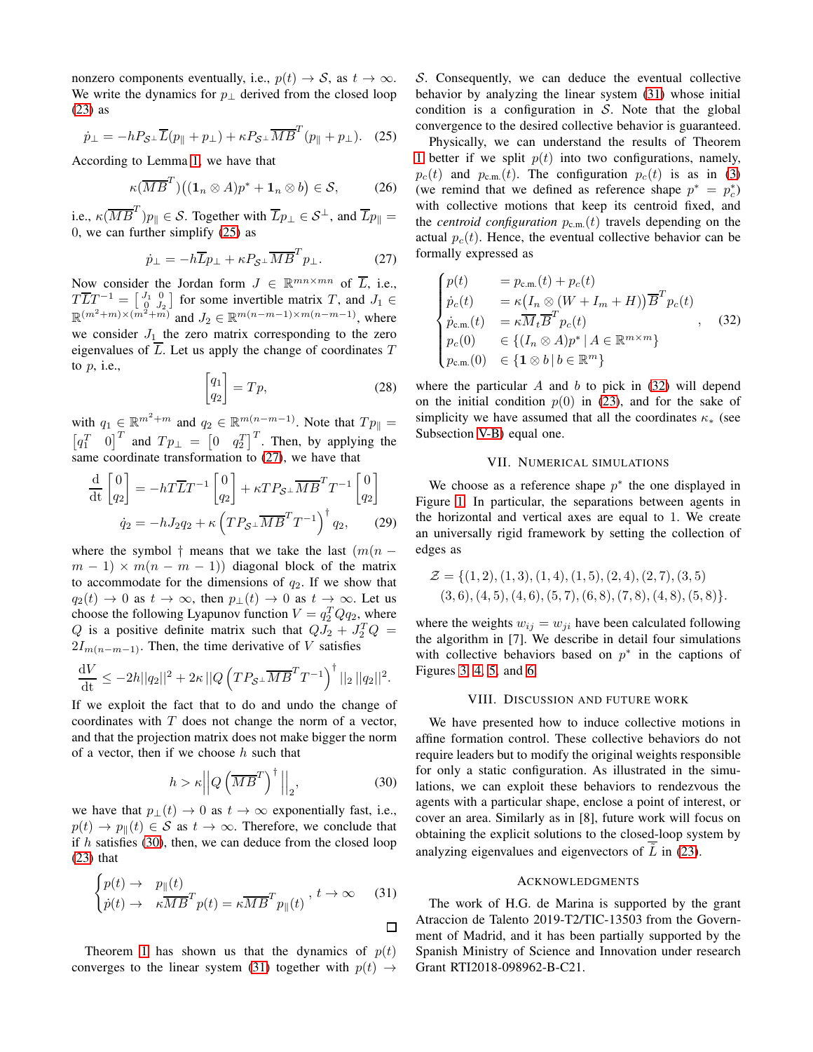nonzero components eventually, i.e.,  $p(t) \rightarrow S$ , as  $t \rightarrow \infty$ . We write the dynamics for  $p_{\perp}$  derived from the closed loop [\(23\)](#page-3-3) as

<span id="page-4-2"></span>
$$
\dot{p}_{\perp} = -hP_{\mathcal{S}^{\perp}}\overline{L}(p_{\parallel} + p_{\perp}) + \kappa P_{\mathcal{S}^{\perp}}\overline{MB}^{T}(p_{\parallel} + p_{\perp}). \quad (25)
$$

According to Lemma [1,](#page-3-5) we have that

$$
\kappa(\overline{MB}^T)\big((\mathbf{1}_n \otimes A)p^* + \mathbf{1}_n \otimes b\big) \in \mathcal{S},\tag{26}
$$

i.e.,  $\kappa(\overline{MB}^T)p_{\parallel} \in \mathcal{S}$ . Together with  $\overline{L}p_{\perp} \in \mathcal{S}^{\perp}$ , and  $\overline{L}p_{\parallel} =$ 0, we can further simplify [\(25\)](#page-4-2) as

<span id="page-4-3"></span>
$$
\dot{p}_{\perp} = -h\overline{L}p_{\perp} + \kappa P_{\mathcal{S}^{\perp}}\overline{MB}^T p_{\perp}.
$$
 (27)

Now consider the Jordan form  $J \in \mathbb{R}^{mn \times mn}$  of  $\overline{L}$ , i.e.,  $T\overline{L}T^{-1} = \begin{bmatrix} J_1 & 0 \\ 0 & J_2 \end{bmatrix}$  for some invertible matrix T, and  $J_1 \in$  $\mathbb{R}^{(m^2+m)\times(m^2+m)}$  and  $J_2 \in \mathbb{R}^{m(n-m-1)\times m(n-m-1)}$ , where we consider  $J_1$  the zero matrix corresponding to the zero eigenvalues of  $\overline{L}$ . Let us apply the change of coordinates  $T$ to  $p$ , i.e.,

$$
\begin{bmatrix} q_1 \\ q_2 \end{bmatrix} = Tp,\tag{28}
$$

with  $q_1 \in \mathbb{R}^{m^2+m}$  and  $q_2 \in \mathbb{R}^{m(n-m-1)}$ . Note that  $Tp_{\parallel} =$  $\begin{bmatrix} q_1^T & 0 \end{bmatrix}^T$  and  $Tp_{\perp} = \begin{bmatrix} 0 & q_2^T \end{bmatrix}^T$ . Then, by applying the same coordinate transformation to [\(27\)](#page-4-3), we have that

$$
\frac{\mathrm{d}}{\mathrm{d}t} \begin{bmatrix} 0 \\ q_2 \end{bmatrix} = -h T \overline{L} T^{-1} \begin{bmatrix} 0 \\ q_2 \end{bmatrix} + \kappa T P_{\mathcal{S}^\perp} \overline{M} \overline{B}^T T^{-1} \begin{bmatrix} 0 \\ q_2 \end{bmatrix}
$$

$$
\dot{q}_2 = -h J_2 q_2 + \kappa \left( T P_{\mathcal{S}^\perp} \overline{M} \overline{B}^T T^{-1} \right)^\dagger q_2, \qquad (29)
$$

where the symbol † means that we take the last  $(m(n$  $m-1 \rangle \times m(n-m-1)$  diagonal block of the matrix to accommodate for the dimensions of  $q_2$ . If we show that  $q_2(t) \to 0$  as  $t \to \infty$ , then  $p_{\perp}(t) \to 0$  as  $t \to \infty$ . Let us choose the following Lyapunov function  $V = q_2^T Q q_2$ , where Q is a positive definite matrix such that  $QJ_2 + J_2^TQ =$  $2I_{m(n-m-1)}$ . Then, the time derivative of V satisfies

$$
\frac{\mathrm{d}V}{\mathrm{d}t} \leq -2h||q_2||^2 + 2\kappa ||Q\left(TP_{\mathcal{S}^\perp} \overline{MB}^T T^{-1}\right)^{\dagger} ||_2 ||q_2||^2.
$$

If we exploit the fact that to do and undo the change of coordinates with  $T$  does not change the norm of a vector, and that the projection matrix does not make bigger the norm of a vector, then if we choose  $h$  such that

<span id="page-4-4"></span>
$$
h > \kappa \left\| Q \left( \overline{M} \overline{B}^T \right)^{\dagger} \right\|_2,\tag{30}
$$

we have that  $p_{\perp}(t) \to 0$  as  $t \to \infty$  exponentially fast, i.e.,  $p(t) \rightarrow p_{\parallel}(t) \in S$  as  $t \rightarrow \infty$ . Therefore, we conclude that if  $h$  satisfies [\(30\)](#page-4-4), then, we can deduce from the closed loop [\(23\)](#page-3-3) that

<span id="page-4-5"></span>
$$
\begin{cases} p(t) \to & p_{\parallel}(t) \\ \dot{p}(t) \to & \kappa \overline{MB}^T p(t) = \kappa \overline{MB}^T p_{\parallel}(t) \end{cases}, t \to \infty \quad (31)
$$

Theorem [1](#page-3-6) has shown us that the dynamics of  $p(t)$ converges to the linear system [\(31\)](#page-4-5) together with  $p(t) \rightarrow$ 

S. Consequently, we can deduce the eventual collective behavior by analyzing the linear system [\(31\)](#page-4-5) whose initial condition is a configuration in  $S$ . Note that the global convergence to the desired collective behavior is guaranteed.

Physically, we can understand the results of Theorem [1](#page-3-6) better if we split  $p(t)$  into two configurations, namely,  $p_c(t)$  and  $p_{c,m}(t)$ . The configuration  $p_c(t)$  is as in [\(3\)](#page-1-3) (we remind that we defined as reference shape  $p^* = p_c^*$ ) with collective motions that keep its centroid fixed, and the *centroid configuration*  $p_{c.m.}(t)$  travels depending on the actual  $p_c(t)$ . Hence, the eventual collective behavior can be formally expressed as

<span id="page-4-6"></span>
$$
\begin{cases}\np(t) &= p_{\text{c.m.}}(t) + p_c(t) \\
\dot{p}_c(t) &= \kappa \left(I_n \otimes (W + I_m + H)\right) \overline{B}^T p_c(t) \\
\dot{p}_{\text{c.m.}}(t) &= \kappa \overline{M}_t \overline{B}^T p_c(t) \\
p_c(0) & \in \{(I_n \otimes A)p^* \mid A \in \mathbb{R}^{m \times m}\} \\
p_{\text{c.m.}}(0) & \in \{1 \otimes b \mid b \in \mathbb{R}^m\}\n\end{cases}\n\tag{32}
$$

where the particular  $A$  and  $b$  to pick in [\(32\)](#page-4-6) will depend on the initial condition  $p(0)$  in [\(23\)](#page-3-3), and for the sake of simplicity we have assumed that all the coordinates  $\kappa_{*}$  (see Subsection [V-B\)](#page-2-9) equal one.

## VII. NUMERICAL SIMULATIONS

<span id="page-4-0"></span>We choose as a reference shape  $p^*$  the one displayed in Figure [1.](#page-1-2) In particular, the separations between agents in the horizontal and vertical axes are equal to 1. We create an universally rigid framework by setting the collection of edges as

$$
\mathcal{Z} = \{ (1, 2), (1, 3), (1, 4), (1, 5), (2, 4), (2, 7), (3, 5) (3, 6), (4, 5), (4, 6), (5, 7), (6, 8), (7, 8), (4, 8), (5, 8) \}.
$$

where the weights  $w_{ij} = w_{ji}$  have been calculated following the algorithm in [7]. We describe in detail four simulations with collective behaviors based on  $p^*$  in the captions of Figures [3,](#page-5-0) [4,](#page-5-1) [5,](#page-5-2) and [6.](#page-5-3)

#### VIII. DISCUSSION AND FUTURE WORK

<span id="page-4-1"></span>We have presented how to induce collective motions in affine formation control. These collective behaviors do not require leaders but to modify the original weights responsible for only a static configuration. As illustrated in the simulations, we can exploit these behaviors to rendezvous the agents with a particular shape, enclose a point of interest, or cover an area. Similarly as in [8], future work will focus on obtaining the explicit solutions to the closed-loop system by analyzing eigenvalues and eigenvectors of  $\overline{L}$  in [\(23\)](#page-3-3).

#### ACKNOWLEDGMENTS

The work of H.G. de Marina is supported by the grant Atraccion de Talento 2019-T2/TIC-13503 from the Government of Madrid, and it has been partially supported by the Spanish Ministry of Science and Innovation under research Grant RTI2018-098962-B-C21.